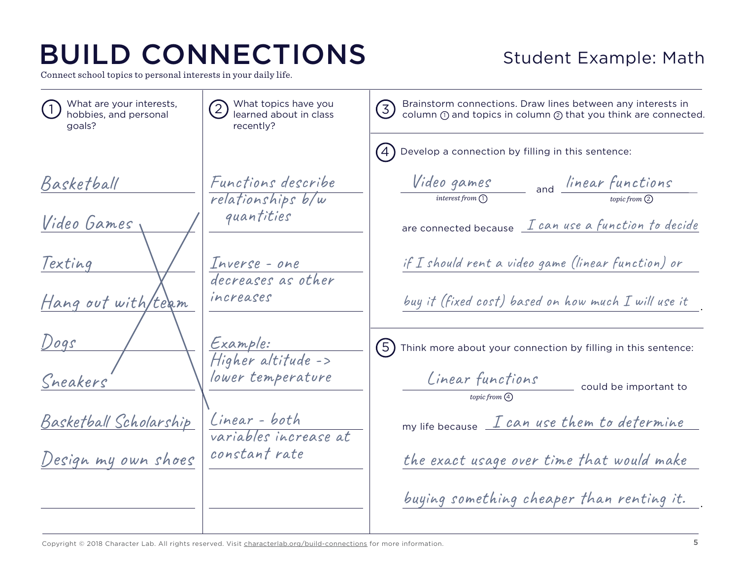Connect school topics to personal interests in your daily life.

#### Student Example: Math

| What are your interests,<br>hobbies, and personal<br>goals? | What topics have you<br>learned about in class<br>recently? | Brainstorm connections. Draw lines between any interests in<br>$\left(\overline{3}\right)$<br>column ① and topics in column ② that you think are connected. |
|-------------------------------------------------------------|-------------------------------------------------------------|-------------------------------------------------------------------------------------------------------------------------------------------------------------|
|                                                             |                                                             | Develop a connection by filling in this sentence:                                                                                                           |
| Basketball                                                  | Functions describe<br>relationships b/w                     | <i>Video games</i><br>and <i>linear functions</i><br>$interest from (1)$                                                                                    |
| Video Games                                                 | quantities                                                  | are connected because <i>L can use a function to decide</i>                                                                                                 |
| Texting                                                     | Inverse - one<br>decreases as other                         | if I should rent a video game (linear function) or                                                                                                          |
| Hang out with/team                                          | increases                                                   | buy it (fixed cost) based on how much $I$ will use it                                                                                                       |
| Dogs                                                        | <u>Example:</u><br>Higher altitude ->                       | $\widehat{(5)}$<br>Think more about your connection by filling in this sentence:                                                                            |
| Sneakers                                                    | lower temperature                                           | Linear functions<br>could be important to<br>topic from $\left(\begin{smallmatrix} 4 \end{smallmatrix}\right)$                                              |
| <u> Basketball Scholarship</u>                              | Linear - both<br>variables increase at                      | my life because <i>I can use them to determine</i>                                                                                                          |
| Design my own shoes                                         | constant rate                                               | the exact usage over time that would make                                                                                                                   |
|                                                             |                                                             | buying something cheaper than renting it.                                                                                                                   |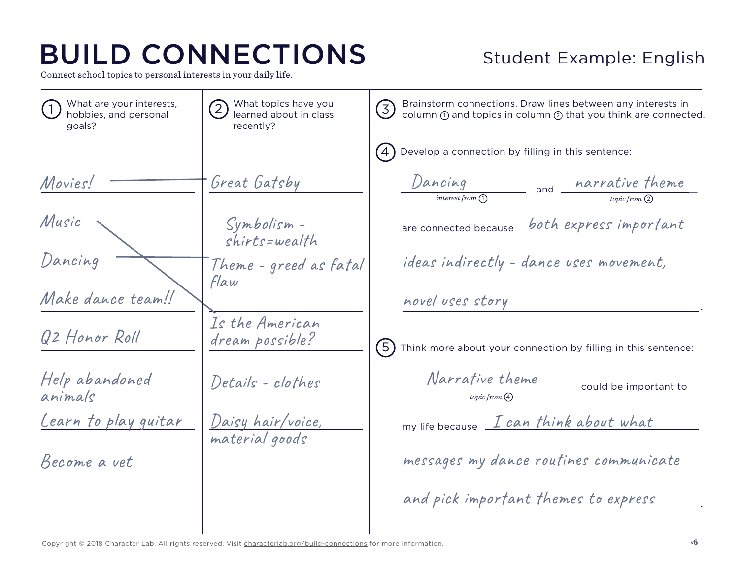Connect school topics to personal interests in your daily life.

### Student Example: English

| What are your interests,<br>hobbies, and personal<br>goals? | What topics have you<br>$\left( 2\right)$<br>learned about in class<br>recently? | Brainstorm connections. Draw lines between any interests in<br>(3)<br>column 1 and topics in column 2 that you think are connected. |
|-------------------------------------------------------------|----------------------------------------------------------------------------------|-------------------------------------------------------------------------------------------------------------------------------------|
|                                                             |                                                                                  | Develop a connection by filling in this sentence:                                                                                   |
| Movies!                                                     | Great Gatsby                                                                     | Dancing<br>and <i>narrative theme</i><br>interest from (1)                                                                          |
| Music                                                       | Symbolism -<br><i>chirts=wealth</i>                                              | are connected because both express important                                                                                        |
| Dancing                                                     | <u> Theme - greed as fatal</u><br>Flaw                                           | ideas indirectly - dance uses movement,                                                                                             |
| Make dance team!!                                           |                                                                                  | novel uses story                                                                                                                    |
| Q2 Honor Roll                                               | Is the American<br>dream possible?                                               | (5)<br>Think more about your connection by filling in this sentence:                                                                |
| Help abandoned<br>animals                                   | Details - clothes                                                                | Narrative theme<br>could be important to<br>topic from (4)                                                                          |
| <u>Learn to play guitar</u>                                 | <u>Daisy hair/voice,</u><br>material goods                                       | my life because I can think about what                                                                                              |
| Become a vet                                                |                                                                                  | messages my dance routines communicate                                                                                              |
|                                                             |                                                                                  | and pick important themes to express                                                                                                |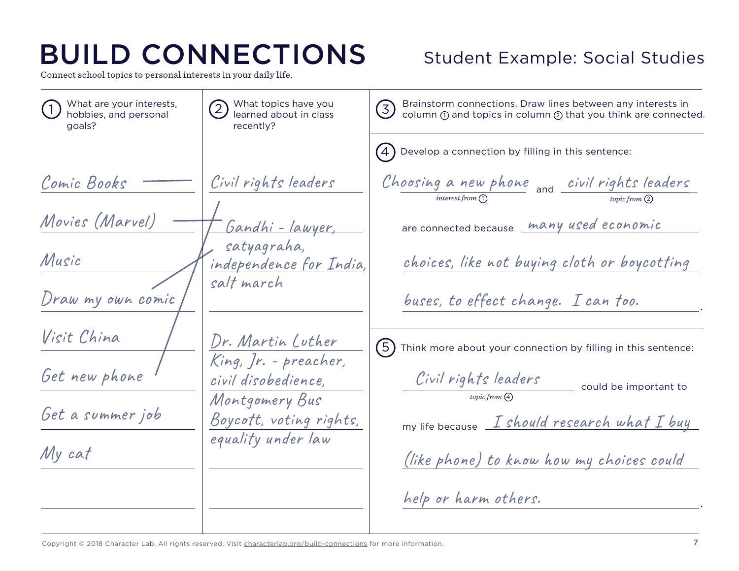Connect school topics to personal interests in your daily life.

#### Student Example: Social Studies

 could be important to my life because  $I$  should research what  $I$  buy 1) What are your interests,  $\sqrt{2}$ *topic from* 2 What topics have you learned about in class recently? What are your interests, goals?  $\left( 4 \right)$  $(5)$ Develop a connection by filling in this sentence: Think more about your connection by filling in this sentence: . . and are connected because many used economic *interest from* (1 Comic Books Movies (Marvel) Music Draw my own comic Visit China Get new phone Get a summer job My cat Civil rights leaders Gandhi - lawyer, satyagraha, independence for India, salt march Dr. Martin Luther King, Jr. - preacher, civil disobedience, Montgomery Bus Boycott, voting rights, equality under law Choosing a new phone <sub>and</sub> civil rights leaders Civil rights leaders choices, like not buying cloth or boycotting buses, to effect change. I can too. (like phone) to know how my choices could help or harm others. 3) Brainstorm connections. Draw lines between any interests in<br>column ① and topics in column ② that you think are connected. Brainstorm connections. Draw lines between any interests in *topic from*  $\Omega$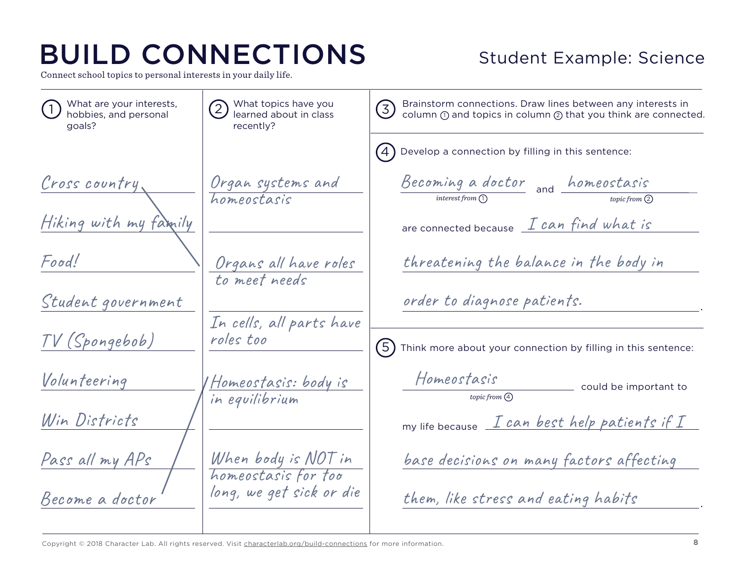Connect school topics to personal interests in your daily life.

#### Student Example: Science

 could be important to my life because  $\begin{array}{cc} \textit{I can best help patients if I} \end{array}$ 1) What are your interests,  $\sqrt{2}$ *topic from* 2 What topics have you learned about in class recently? What are your interests, goals?  $(4)$  $(5)$ Develop a connection by filling in this sentence: Think more about your connection by filling in this sentence: . . and are connected because  $\;\; \mathcal{I} \; can \; find \; what \; is$ *interest from* (1 Cross country Hiking with my family Food! Student government TV (Spongebob) Volunteering Win Districts Pass all my APs Become a doctor Organ systems and homeostasis Organs all have roles to meet needs In cells, all parts have roles too Homeostasis: body is in equilibrium When body is NOT in homeostasis for too long, we get sick or die Becoming a doctor and homeostasis Homeostasis threatening the balance in the body in order to diagnose patients. base decisions on many factors affecting them, like stress and eating habits 3) Brainstorm connections. Draw lines between any interests in<br>column ① and topics in column ② that you think are connected. Brainstorm connections. Draw lines between any interests in *topic from*  $\Omega$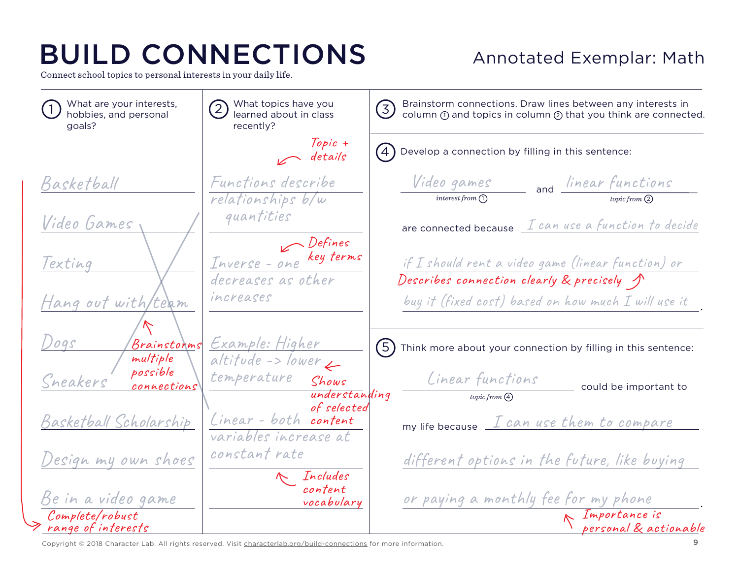Connect school topics to personal interests in your daily life.

### Annotated Exemplar: Math

Basketball Video Games Texting Hang out with/team Dogs Sneakers Basketball Scholarship Design my own shoes Be in a video game Functions describe relationships b/w quantities Inverse - one key terms decreases as other increases Example: Higher  $\overline{altitude -> lower}$ temperature Shows Linear - both content variables increase at constant rate Video games and linear functions Linear functions are connected because  $\perp$  can use a function to decide if I should rent a video game (linear function) or buy it (fixed cost) based on how much I will use it my life because  $\begin{array}{ccc} I & can & use & then & to & complex \end{array}$ different options in the future, like buying or paying a monthly fee for my phone . Importance is could be important to 1) What are your interests,  $\sqrt{2}$ *topic from* 2 What topics have you learned about in class recently? What are your interests, goals? 4  $(5)$ Develop a connection by filling in this sentence: Think more about your connection by filling in this sentence: . and *interest from* (1 3) Brainstorm connections. Draw lines between any interests in<br>column ① and topics in column ② that you think are connected. Brainstorm connections. Draw lines between any interests in Topic +  $\sim$  details **Defines** understanding of selected Describes connection clearly & precisely Brainstorms multiple possible connections Complete/robust range of interests personal & actionable  $topic from (4)$ Includes content vocabulary

Copyright © 2018 Character Lab. All rights reserved. Visit [characterlab.org/b](http://www.characterlab.org/build-connections)uild-connections for more information.